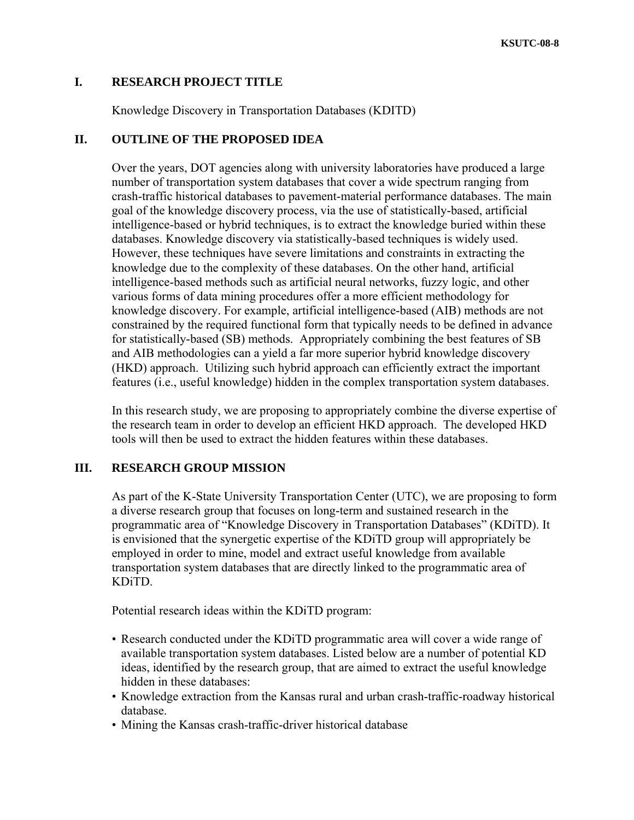## **I. RESEARCH PROJECT TITLE**

Knowledge Discovery in Transportation Databases (KDITD)

## **II. OUTLINE OF THE PROPOSED IDEA**

Over the years, DOT agencies along with university laboratories have produced a large number of transportation system databases that cover a wide spectrum ranging from crash-traffic historical databases to pavement-material performance databases. The main goal of the knowledge discovery process, via the use of statistically-based, artificial intelligence-based or hybrid techniques, is to extract the knowledge buried within these databases. Knowledge discovery via statistically-based techniques is widely used. However, these techniques have severe limitations and constraints in extracting the knowledge due to the complexity of these databases. On the other hand, artificial intelligence-based methods such as artificial neural networks, fuzzy logic, and other various forms of data mining procedures offer a more efficient methodology for knowledge discovery. For example, artificial intelligence-based (AIB) methods are not constrained by the required functional form that typically needs to be defined in advance for statistically-based (SB) methods. Appropriately combining the best features of SB and AIB methodologies can a yield a far more superior hybrid knowledge discovery (HKD) approach. Utilizing such hybrid approach can efficiently extract the important features (i.e., useful knowledge) hidden in the complex transportation system databases.

In this research study, we are proposing to appropriately combine the diverse expertise of the research team in order to develop an efficient HKD approach. The developed HKD tools will then be used to extract the hidden features within these databases.

## **III. RESEARCH GROUP MISSION**

As part of the K-State University Transportation Center (UTC), we are proposing to form a diverse research group that focuses on long-term and sustained research in the programmatic area of "Knowledge Discovery in Transportation Databases" (KDiTD). It is envisioned that the synergetic expertise of the KDiTD group will appropriately be employed in order to mine, model and extract useful knowledge from available transportation system databases that are directly linked to the programmatic area of KDiTD.

Potential research ideas within the KDiTD program:

- Research conducted under the KDiTD programmatic area will cover a wide range of available transportation system databases. Listed below are a number of potential KD ideas, identified by the research group, that are aimed to extract the useful knowledge hidden in these databases:
- Knowledge extraction from the Kansas rural and urban crash-traffic-roadway historical database.
- Mining the Kansas crash-traffic-driver historical database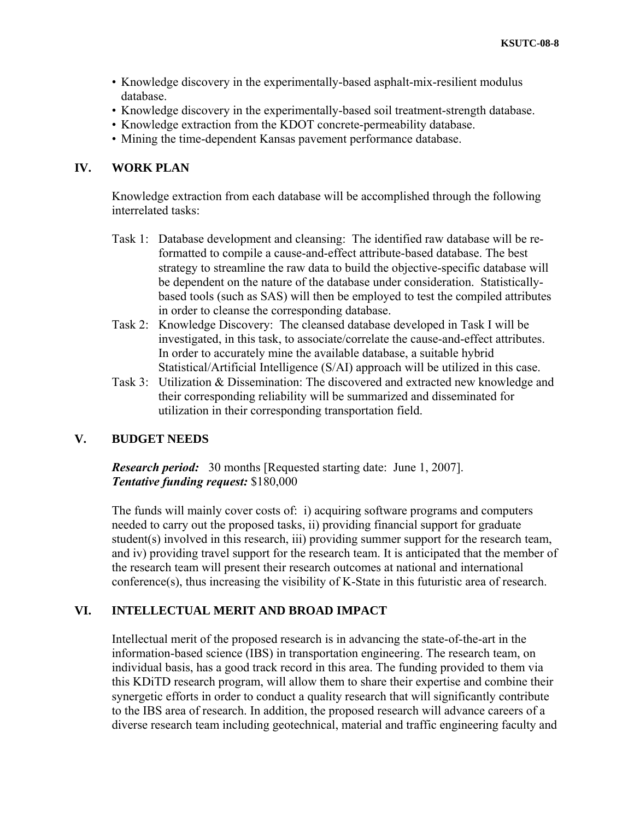- Knowledge discovery in the experimentally-based asphalt-mix-resilient modulus database.
- Knowledge discovery in the experimentally-based soil treatment-strength database.
- Knowledge extraction from the KDOT concrete-permeability database.
- Mining the time-dependent Kansas pavement performance database.

# **IV. WORK PLAN**

Knowledge extraction from each database will be accomplished through the following interrelated tasks:

- Task 1: Database development and cleansing: The identified raw database will be reformatted to compile a cause-and-effect attribute-based database. The best strategy to streamline the raw data to build the objective-specific database will be dependent on the nature of the database under consideration. Statisticallybased tools (such as SAS) will then be employed to test the compiled attributes in order to cleanse the corresponding database.
- Task 2: Knowledge Discovery: The cleansed database developed in Task I will be investigated, in this task, to associate/correlate the cause-and-effect attributes. In order to accurately mine the available database, a suitable hybrid Statistical/Artificial Intelligence (S/AI) approach will be utilized in this case.
- Task 3: Utilization & Dissemination: The discovered and extracted new knowledge and their corresponding reliability will be summarized and disseminated for utilization in their corresponding transportation field.

#### **V. BUDGET NEEDS**

*Research period:* 30 months [Requested starting date: June 1, 2007]. *Tentative funding request:* \$180,000

The funds will mainly cover costs of: i) acquiring software programs and computers needed to carry out the proposed tasks, ii) providing financial support for graduate student(s) involved in this research, iii) providing summer support for the research team, and iv) providing travel support for the research team. It is anticipated that the member of the research team will present their research outcomes at national and international conference(s), thus increasing the visibility of K-State in this futuristic area of research.

### **VI. INTELLECTUAL MERIT AND BROAD IMPACT**

Intellectual merit of the proposed research is in advancing the state-of-the-art in the information-based science (IBS) in transportation engineering. The research team, on individual basis, has a good track record in this area. The funding provided to them via this KDiTD research program, will allow them to share their expertise and combine their synergetic efforts in order to conduct a quality research that will significantly contribute to the IBS area of research. In addition, the proposed research will advance careers of a diverse research team including geotechnical, material and traffic engineering faculty and